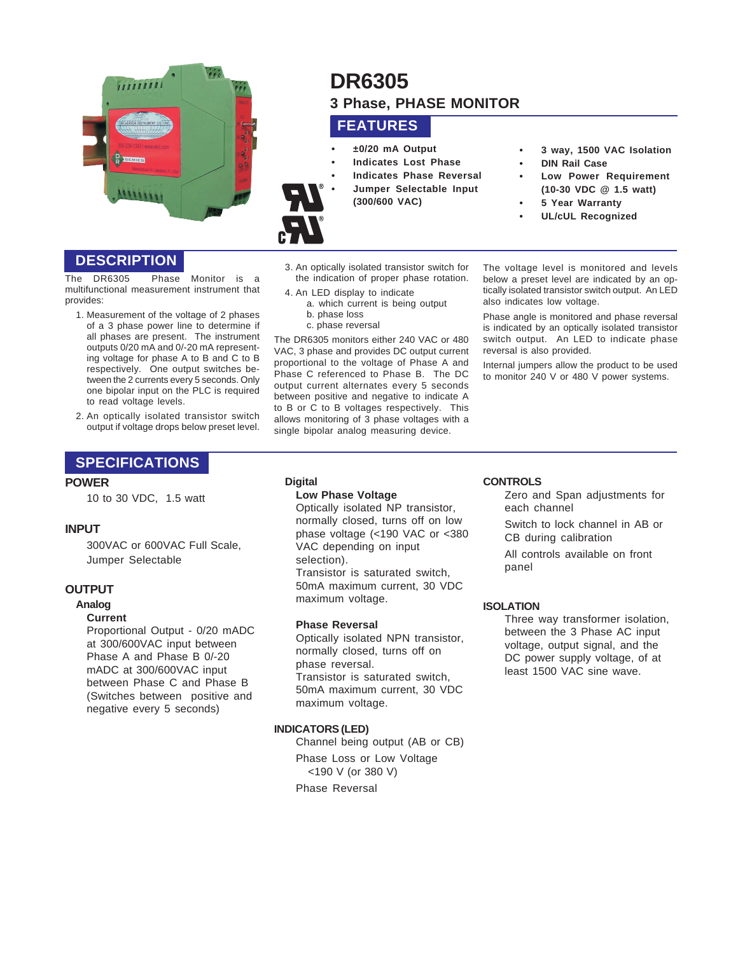

# **DR6305 3 Phase, PHASE MONITOR**

## **FEATURES**

- **±0/20 mA Output**
- **Indicates Lost Phase**
- **Indicates Phase Reversal**
- **Jumper Selectable Input**
	- **(300/600 VAC)**
- **3 way, 1500 VAC Isolation**
- **DIN Rail Case**
- **Low Power Requirement (10-30 VDC @ 1.5 watt)**
- **5 Year Warranty**
- **UL/cUL Recognized**

**DESCRIPTION**

The DR6305 Phase Monitor is a multifunctional measurement instrument that provides:

- 1. Measurement of the voltage of 2 phases of a 3 phase power line to determine if all phases are present. The instrument outputs 0/20 mA and 0/-20 mA representing voltage for phase A to B and C to B respectively. One output switches between the 2 currents every 5 seconds. Only one bipolar input on the PLC is required to read voltage levels.
- 2. An optically isolated transistor switch output if voltage drops below preset level.

## **SPECIFICATIONS**

## **POWER**

10 to 30 VDC, 1.5 watt

## **INPUT**

300VAC or 600VAC Full Scale, Jumper Selectable

## **OUTPUT**

#### **Analog**

#### **Current**

Proportional Output - 0/20 mADC at 300/600VAC input between Phase A and Phase B 0/-20 mADC at 300/600VAC input between Phase C and Phase B (Switches between positive and negative every 5 seconds)

- 3. An optically isolated transistor switch for the indication of proper phase rotation.
- 4. An LED display to indicate a. which current is being output b. phase loss
	- c. phase reversal

The DR6305 monitors either 240 VAC or 480 VAC, 3 phase and provides DC output current proportional to the voltage of Phase A and Phase C referenced to Phase B. The DC output current alternates every 5 seconds between positive and negative to indicate A to B or C to B voltages respectively. This allows monitoring of 3 phase voltages with a single bipolar analog measuring device.

The voltage level is monitored and levels below a preset level are indicated by an optically isolated transistor switch output. An LED also indicates low voltage.

Phase angle is monitored and phase reversal is indicated by an optically isolated transistor switch output. An LED to indicate phase reversal is also provided.

Internal jumpers allow the product to be used to monitor 240 V or 480 V power systems.

## **Digital**

## **Low Phase Voltage**

Optically isolated NP transistor, normally closed, turns off on low phase voltage (<190 VAC or <380 VAC depending on input selection). Transistor is saturated switch, 50mA maximum current, 30 VDC maximum voltage.

## **Phase Reversal**

Optically isolated NPN transistor, normally closed, turns off on phase reversal. Transistor is saturated switch, 50mA maximum current, 30 VDC maximum voltage.

## **INDICATORS (LED)**

Channel being output (AB or CB) Phase Loss or Low Voltage <190 V (or 380 V)

Phase Reversal

#### **CONTROLS**

Zero and Span adjustments for each channel

Switch to lock channel in AB or CB during calibration

All controls available on front panel

## **ISOLATION**

Three way transformer isolation, between the 3 Phase AC input voltage, output signal, and the DC power supply voltage, of at least 1500 VAC sine wave.